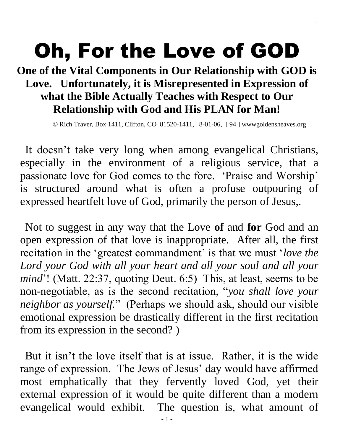# Oh, For the Love of GOD

# **One of the Vital Components in Our Relationship with GOD is Love. Unfortunately, it is Misrepresented in Expression of what the Bible Actually Teaches with Respect to Our Relationship with God and His PLAN for Man!**

© Rich Traver, Box 1411, Clifton, CO 81520-1411, 8-01-06, [ 94 ] wwwgoldensheaves.org

It doesn't take very long when among evangelical Christians, especially in the environment of a religious service, that a passionate love for God comes to the fore. 'Praise and Worship' is structured around what is often a profuse outpouring of expressed heartfelt love of God, primarily the person of Jesus,.

Not to suggest in any way that the Love **of** and **for** God and an open expression of that love is inappropriate. After all, the first recitation in the 'greatest commandment' is that we must '*love the Lord your God with all your heart and all your soul and all your mind*'! (Matt. 22:37, quoting Deut. 6:5) This, at least, seems to be non-negotiable, as is the second recitation, "*you shall love your neighbor as yourself.*" (Perhaps we should ask, should our visible emotional expression be drastically different in the first recitation from its expression in the second? )

But it isn't the love itself that is at issue. Rather, it is the wide range of expression. The Jews of Jesus' day would have affirmed most emphatically that they fervently loved God, yet their external expression of it would be quite different than a modern evangelical would exhibit. The question is, what amount of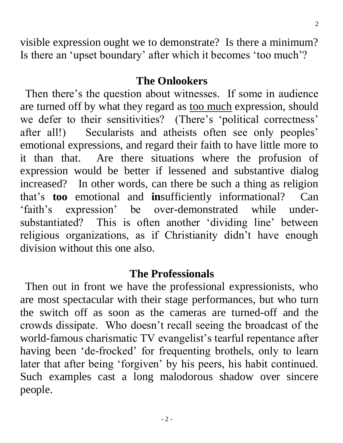visible expression ought we to demonstrate? Is there a minimum? Is there an 'upset boundary' after which it becomes 'too much'?

### **The Onlookers**

Then there's the question about witnesses. If some in audience are turned off by what they regard as too much expression, should we defer to their sensitivities? (There's 'political correctness' after all!) Secularists and atheists often see only peoples' emotional expressions, and regard their faith to have little more to it than that. Are there situations where the profusion of expression would be better if lessened and substantive dialog increased? In other words, can there be such a thing as religion that's **too** emotional and **in**sufficiently informational? Can 'faith's expression' be over-demonstrated while undersubstantiated? This is often another 'dividing line' between religious organizations, as if Christianity didn't have enough division without this one also.

## **The Professionals**

Then out in front we have the professional expressionists, who are most spectacular with their stage performances, but who turn the switch off as soon as the cameras are turned-off and the crowds dissipate. Who doesn't recall seeing the broadcast of the world-famous charismatic TV evangelist's tearful repentance after having been 'de-frocked' for frequenting brothels, only to learn later that after being 'forgiven' by his peers, his habit continued. Such examples cast a long malodorous shadow over sincere people.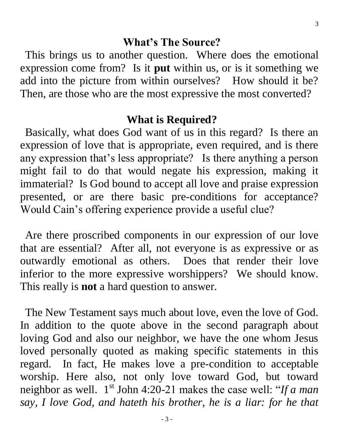#### **What's The Source?**

This brings us to another question. Where does the emotional expression come from? Is it **put** within us, or is it something we add into the picture from within ourselves? How should it be? Then, are those who are the most expressive the most converted?

#### **What is Required?**

Basically, what does God want of us in this regard? Is there an expression of love that is appropriate, even required, and is there any expression that's less appropriate? Is there anything a person might fail to do that would negate his expression, making it immaterial? Is God bound to accept all love and praise expression presented, or are there basic pre-conditions for acceptance? Would Cain's offering experience provide a useful clue?

Are there proscribed components in our expression of our love that are essential? After all, not everyone is as expressive or as outwardly emotional as others. Does that render their love inferior to the more expressive worshippers? We should know. This really is **not** a hard question to answer.

The New Testament says much about love, even the love of God. In addition to the quote above in the second paragraph about loving God and also our neighbor, we have the one whom Jesus loved personally quoted as making specific statements in this regard. In fact, He makes love a pre-condition to acceptable worship. Here also, not only love toward God, but toward neighbor as well. 1<sup>st</sup> John 4:20-21 makes the case well: "If a man *say, I love God, and hateth his brother, he is a liar: for he that*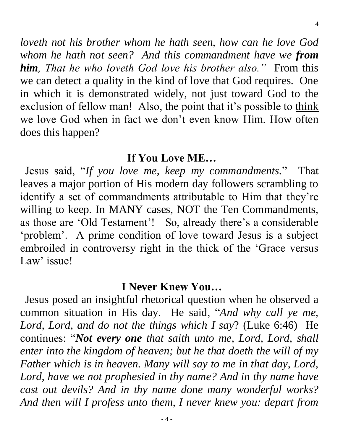*loveth not his brother whom he hath seen, how can he love God whom he hath not seen? And this commandment have we from him, That he who loveth God love his brother also."* From this we can detect a quality in the kind of love that God requires. One in which it is demonstrated widely, not just toward God to the exclusion of fellow man! Also, the point that it's possible to think we love God when in fact we don't even know Him. How often does this happen?

### **If You Love ME…**

Jesus said, "*If you love me, keep my commandments.*" That leaves a major portion of His modern day followers scrambling to identify a set of commandments attributable to Him that they're willing to keep. In MANY cases, NOT the Ten Commandments, as those are 'Old Testament'! So, already there's a considerable 'problem'. A prime condition of love toward Jesus is a subject embroiled in controversy right in the thick of the 'Grace versus Law' issue!

# **I Never Knew You…**

Jesus posed an insightful rhetorical question when he observed a common situation in His day. He said, "*And why call ye me, Lord, Lord, and do not the things which I say*? (Luke 6:46) He continues: "*Not every one that saith unto me, Lord, Lord, shall enter into the kingdom of heaven; but he that doeth the will of my Father which is in heaven. Many will say to me in that day, Lord, Lord, have we not prophesied in thy name? And in thy name have cast out devils? And in thy name done many wonderful works? And then will I profess unto them, I never knew you: depart from*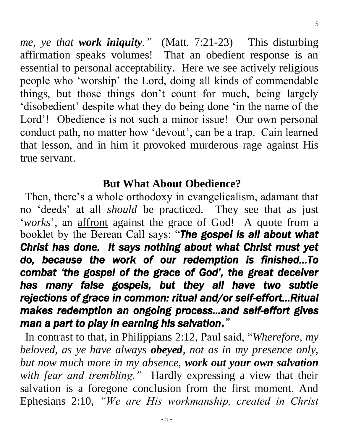*me, ye that work iniquity."* (Matt. 7:21-23) This disturbing affirmation speaks volumes! That an obedient response is an essential to personal acceptability. Here we see actively religious people who 'worship' the Lord, doing all kinds of commendable things, but those things don't count for much, being largely 'disobedient' despite what they do being done 'in the name of the Lord'! Obedience is not such a minor issue! Our own personal conduct path, no matter how 'devout', can be a trap. Cain learned that lesson, and in him it provoked murderous rage against His true servant.

## **But What About Obedience?**

Then, there's a whole orthodoxy in evangelicalism, adamant that no 'deeds' at all *should* be practiced. They see that as just '*works*', an affront against the grace of God! A quote from a booklet by the Berean Call says: "*The gospel is all about what Christ has done. It says nothing about what Christ must yet do, because the work of our redemption is finished…To combat 'the gospel of the grace of God', the great deceiver has many false gospels, but they all have two subtle rejections of grace in common: ritual and/or self-effort…Ritual makes redemption an ongoing process…and self-effort gives man a part to play in earning his salvation."* 

In contrast to that, in Philippians 2:12, Paul said, "*Wherefore, my beloved, as ye have always obeyed, not as in my presence only, but now much more in my absence, work out your own salvation with fear and trembling."* Hardly expressing a view that their salvation is a foregone conclusion from the first moment. And Ephesians 2:10, *"We are His workmanship, created in Christ*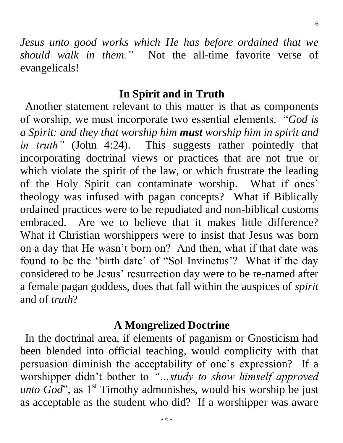*Jesus unto good works which He has before ordained that we should walk in them."* Not the all-time favorite verse of evangelicals!

## **In Spirit and in Truth**

Another statement relevant to this matter is that as components of worship, we must incorporate two essential elements. "*God is a Spirit: and they that worship him must worship him in spirit and in truth*" (John 4:24). This suggests rather pointedly that incorporating doctrinal views or practices that are not true or which violate the spirit of the law, or which frustrate the leading of the Holy Spirit can contaminate worship. What if ones' theology was infused with pagan concepts? What if Biblically ordained practices were to be repudiated and non-biblical customs embraced. Are we to believe that it makes little difference? What if Christian worshippers were to insist that Jesus was born on a day that He wasn't born on? And then, what if that date was found to be the 'birth date' of "Sol Invinctus'? What if the day considered to be Jesus' resurrection day were to be re-named after a female pagan goddess, does that fall within the auspices of *spirit* and of *truth*?

## **A Mongrelized Doctrine**

In the doctrinal area, if elements of paganism or Gnosticism had been blended into official teaching, would complicity with that persuasion diminish the acceptability of one's expression? If a worshipper didn't bother to *"…study to show himself approved unto God*", as 1<sup>st</sup> Timothy admonishes, would his worship be just as acceptable as the student who did? If a worshipper was aware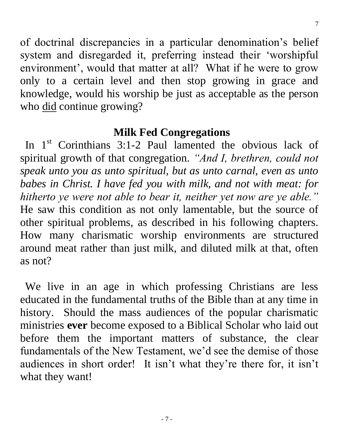7

of doctrinal discrepancies in a particular denomination's belief system and disregarded it, preferring instead their 'worshipful environment', would that matter at all? What if he were to grow only to a certain level and then stop growing in grace and knowledge, would his worship be just as acceptable as the person who did continue growing?

## **Milk Fed Congregations**

In  $1<sup>st</sup>$  Corinthians 3:1-2 Paul lamented the obvious lack of spiritual growth of that congregation. *"And I, brethren, could not speak unto you as unto spiritual, but as unto carnal, even as unto babes in Christ. I have fed you with milk, and not with meat: for hitherto ye were not able to bear it, neither yet now are ye able."*  He saw this condition as not only lamentable, but the source of other spiritual problems, as described in his following chapters. How many charismatic worship environments are structured around meat rather than just milk, and diluted milk at that, often as not?

We live in an age in which professing Christians are less educated in the fundamental truths of the Bible than at any time in history. Should the mass audiences of the popular charismatic ministries **ever** become exposed to a Biblical Scholar who laid out before them the important matters of substance, the clear fundamentals of the New Testament, we'd see the demise of those audiences in short order! It isn't what they're there for, it isn't what they want!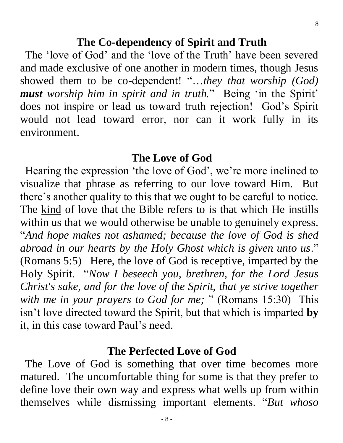#### **The Co-dependency of Spirit and Truth**

The 'love of God' and the 'love of the Truth' have been severed and made exclusive of one another in modern times, though Jesus showed them to be co-dependent! "…*they that worship (God) must worship him in spirit and in truth.*" Being 'in the Spirit' does not inspire or lead us toward truth rejection! God's Spirit would not lead toward error, nor can it work fully in its environment.

#### **The Love of God**

Hearing the expression 'the love of God', we're more inclined to visualize that phrase as referring to our love toward Him. But there's another quality to this that we ought to be careful to notice. The kind of love that the Bible refers to is that which He instills within us that we would otherwise be unable to genuinely express. "*And hope makes not ashamed; because the love of God is shed abroad in our hearts by the Holy Ghost which is given unto us*." (Romans 5:5) Here, the love of God is receptive, imparted by the Holy Spirit. "*Now I beseech you, brethren, for the Lord Jesus Christ's sake, and for the love of the Spirit, that ye strive together with me in your prayers to God for me;* " (Romans 15:30) This isn't love directed toward the Spirit, but that which is imparted **by** it, in this case toward Paul's need.

#### **The Perfected Love of God**

The Love of God is something that over time becomes more matured. The uncomfortable thing for some is that they prefer to define love their own way and express what wells up from within themselves while dismissing important elements. "*But whoso*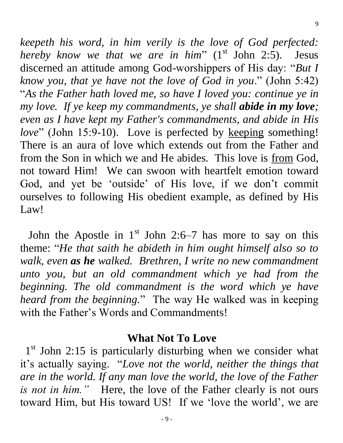*keepeth his word, in him verily is the love of God perfected: hereby know we that we are in him*" (1<sup>st</sup> John 2:5). Jesus discerned an attitude among God-worshippers of His day: "*But I know you, that ye have not the love of God in you*." (John 5:42) "*As the Father hath loved me, so have I loved you: continue ye in my love. If ye keep my commandments, ye shall abide in my love; even as I have kept my Father's commandments, and abide in His love*" (John 15:9-10). Love is perfected by keeping something! There is an aura of love which extends out from the Father and from the Son in which we and He abides. This love is from God, not toward Him! We can swoon with heartfelt emotion toward God, and yet be 'outside' of His love, if we don't commit ourselves to following His obedient example, as defined by His Law!

9

John the Apostle in  $1<sup>st</sup>$  John 2:6–7 has more to say on this theme: "*He that saith he abideth in him ought himself also so to walk, even as he walked. Brethren, I write no new commandment unto you, but an old commandment which ye had from the beginning. The old commandment is the word which ye have heard from the beginning.*" The way He walked was in keeping with the Father's Words and Commandments!

#### **What Not To Love**

1<sup>st</sup> John 2:15 is particularly disturbing when we consider what it's actually saying. "*Love not the world, neither the things that are in the world. If any man love the world, the love of the Father is not in him."* Here, the love of the Father clearly is not ours toward Him, but His toward US! If we 'love the world', we are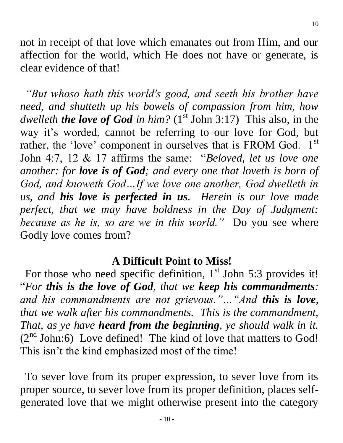not in receipt of that love which emanates out from Him, and our affection for the world, which He does not have or generate, is clear evidence of that!

*"But whoso hath this world's good, and seeth his brother have need, and shutteth up his bowels of compassion from him, how dwelleth the love of God in him?*  $(1<sup>st</sup>$  John 3:17) This also, in the way it's worded, cannot be referring to our love for God, but rather, the 'love' component in ourselves that is FROM God. 1st John 4:7, 12 & 17 affirms the same: "*Beloved, let us love one another: for love is of God; and every one that loveth is born of*  God, and knoweth God...If we love one another, God dwelleth in *us, and his love is perfected in us. Herein is our love made perfect, that we may have boldness in the Day of Judgment: because as he is, so are we in this world."* Do you see where Godly love comes from?

## **A Difficult Point to Miss!**

For those who need specific definition,  $1<sup>st</sup>$  John 5:3 provides it! "*For this is the love of God, that we keep his commandments: and his commandments are not grievous."…"And this is love, that we walk after his commandments. This is the commandment, That, as ye have heard from the beginning, ye should walk in it.*   $(2<sup>nd</sup> John:6)$  Love defined! The kind of love that matters to God! This isn't the kind emphasized most of the time!

To sever love from its proper expression, to sever love from its proper source, to sever love from its proper definition, places selfgenerated love that we might otherwise present into the category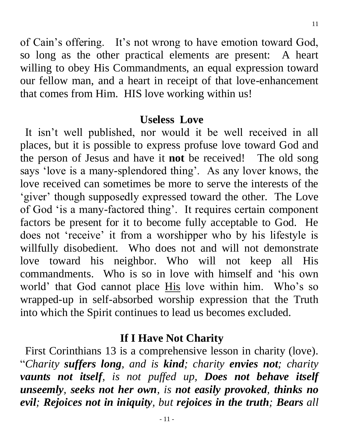of Cain's offering. It's not wrong to have emotion toward God, so long as the other practical elements are present: A heart willing to obey His Commandments, an equal expression toward our fellow man, and a heart in receipt of that love-enhancement that comes from Him. HIS love working within us!

#### **Useless Love**

It isn't well published, nor would it be well received in all places, but it is possible to express profuse love toward God and the person of Jesus and have it **not** be received! The old song says 'love is a many-splendored thing'. As any lover knows, the love received can sometimes be more to serve the interests of the 'giver' though supposedly expressed toward the other. The Love of God 'is a many-factored thing'. It requires certain component factors be present for it to become fully acceptable to God. He does not 'receive' it from a worshipper who by his lifestyle is willfully disobedient. Who does not and will not demonstrate love toward his neighbor. Who will not keep all His commandments. Who is so in love with himself and 'his own world' that God cannot place His love within him. Who's so wrapped-up in self-absorbed worship expression that the Truth into which the Spirit continues to lead us becomes excluded.

## **If I Have Not Charity**

First Corinthians 13 is a comprehensive lesson in charity (love). "*Charity suffers long, and is kind; charity envies not; charity vaunts not itself, is not puffed up, Does not behave itself unseemly, seeks not her own, is not easily provoked, thinks no evil; Rejoices not in iniquity, but rejoices in the truth; Bears all*